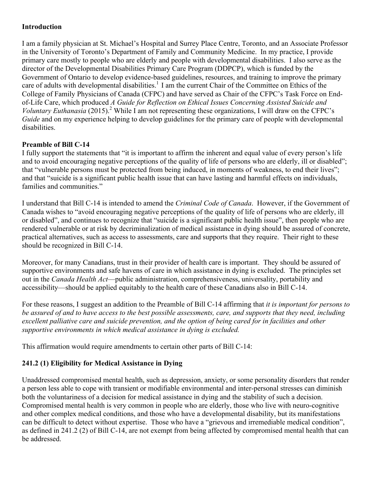### **Introduction**

I am a family physician at St. Michael's Hospital and Surrey Place Centre, Toronto, and an Associate Professor in the University of Toronto's Department of Family and Community Medicine. In my practice, I provide primary care mostly to people who are elderly and people with developmental disabilities. I also serve as the director of the Developmental Disabilities Primary Care Program (DDPCP), which is funded by the Government of Ontario to develop evidence-based guidelines, resources, and training to improve the primary care of adults with developmental disabilities.<sup>1</sup> I am the current Chair of the Committee on Ethics of the College of Family Physicians of Canada (CFPC) and have served as Chair of the CFPC's Task Force on Endof-Life Care, which produced *A Guide for Reflection on Ethical Issues Concerning Assisted Suicide and Voluntary Euthanasia* (2015). <sup>2</sup> While I am not representing these organizations, I will draw on the CFPC's *Guide* and on my experience helping to develop guidelines for the primary care of people with developmental disabilities.

#### **Preamble of Bill C-14**

I fully support the statements that "it is important to affirm the inherent and equal value of every person's life and to avoid encouraging negative perceptions of the quality of life of persons who are elderly, ill or disabled"; that "vulnerable persons must be protected from being induced, in moments of weakness, to end their lives"; and that "suicide is a significant public health issue that can have lasting and harmful effects on individuals, families and communities."

I understand that Bill C-14 is intended to amend the *Criminal Code of Canada*. However, if the Government of Canada wishes to "avoid encouraging negative perceptions of the quality of life of persons who are elderly, ill or disabled", and continues to recognize that "suicide is a significant public health issue", then people who are rendered vulnerable or at risk by decriminalization of medical assistance in dying should be assured of concrete, practical alternatives, such as access to assessments, care and supports that they require. Their right to these should be recognized in Bill C-14.

Moreover, for many Canadians, trust in their provider of health care is important. They should be assured of supportive environments and safe havens of care in which assistance in dying is excluded. The principles set out in the *Canada Health Act*—public administration, comprehensiveness, universality, portability and accessibility—should be applied equitably to the health care of these Canadians also in Bill C-14.

For these reasons, I suggest an addition to the Preamble of Bill C-14 affirming that *it is important for persons to be assured of and to have access to the best possible assessments, care, and supports that they need, including excellent palliative care and suicide prevention, and the option of being cared for in facilities and other supportive environments in which medical assistance in dying is excluded.*

This affirmation would require amendments to certain other parts of Bill C-14:

### **241.2 (1) Eligibility for Medical Assistance in Dying**

Unaddressed compromised mental health, such as depression, anxiety, or some personality disorders that render a person less able to cope with transient or modifiable environmental and inter-personal stresses can diminish both the voluntariness of a decision for medical assistance in dying and the stability of such a decision. Compromised mental health is very common in people who are elderly, those who live with neuro-cognitive and other complex medical conditions, and those who have a developmental disability, but its manifestations can be difficult to detect without expertise. Those who have a "grievous and irremediable medical condition", as defined in 241.2 (2) of Bill C-14, are not exempt from being affected by compromised mental health that can be addressed.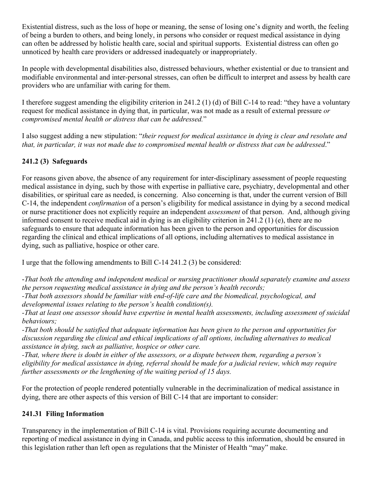Existential distress, such as the loss of hope or meaning, the sense of losing one's dignity and worth, the feeling of being a burden to others, and being lonely, in persons who consider or request medical assistance in dying can often be addressed by holistic health care, social and spiritual supports. Existential distress can often go unnoticed by health care providers or addressed inadequately or inappropriately.

In people with developmental disabilities also, distressed behaviours, whether existential or due to transient and modifiable environmental and inter-personal stresses, can often be difficult to interpret and assess by health care providers who are unfamiliar with caring for them.

I therefore suggest amending the eligibility criterion in 241.2 (1) (d) of Bill C-14 to read: "they have a voluntary request for medical assistance in dying that, in particular, was not made as a result of external pressure *or compromised mental health or distress that can be addressed.*"

I also suggest adding a new stipulation: "*their request for medical assistance in dying is clear and resolute and that, in particular, it was not made due to compromised mental health or distress that can be addressed*."

# **241.2 (3) Safeguards**

For reasons given above, the absence of any requirement for inter-disciplinary assessment of people requesting medical assistance in dying, such by those with expertise in palliative care, psychiatry, developmental and other disabilities, or spiritual care as needed, is concerning. Also concerning is that, under the current version of Bill C-14, the independent *confirmation* of a person's eligibility for medical assistance in dying by a second medical or nurse practitioner does not explicitly require an independent *assessment* of that person. And, although giving informed consent to receive medical aid in dying is an eligibility criterion in 241.2 (1) (e), there are no safeguards to ensure that adequate information has been given to the person and opportunities for discussion regarding the clinical and ethical implications of all options, including alternatives to medical assistance in dying, such as palliative, hospice or other care.

I urge that the following amendments to Bill C-14 241.2 (3) be considered:

-*That both the attending and independent medical or nursing practitioner should separately examine and assess the person requesting medical assistance in dying and the person's health records;*

*-That both assessors should be familiar with end-of-life care and the biomedical, psychological, and developmental issues relating to the person's health condition(s).*

*-That at least one assessor should have expertise in mental health assessments, including assessment of suicidal behaviours;*

*-That both should be satisfied that adequate information has been given to the person and opportunities for discussion regarding the clinical and ethical implications of all options, including alternatives to medical assistance in dying, such as palliative, hospice or other care.* 

*-That, where there is doubt in either of the assessors, or a dispute between them, regarding a person's eligibility for medical assistance in dying, referral should be made for a judicial review, which may require further assessments or the lengthening of the waiting period of 15 days.* 

For the protection of people rendered potentially vulnerable in the decriminalization of medical assistance in dying, there are other aspects of this version of Bill C-14 that are important to consider:

### **241.31 Filing Information**

Transparency in the implementation of Bill C-14 is vital. Provisions requiring accurate documenting and reporting of medical assistance in dying in Canada, and public access to this information, should be ensured in this legislation rather than left open as regulations that the Minister of Health "may" make.